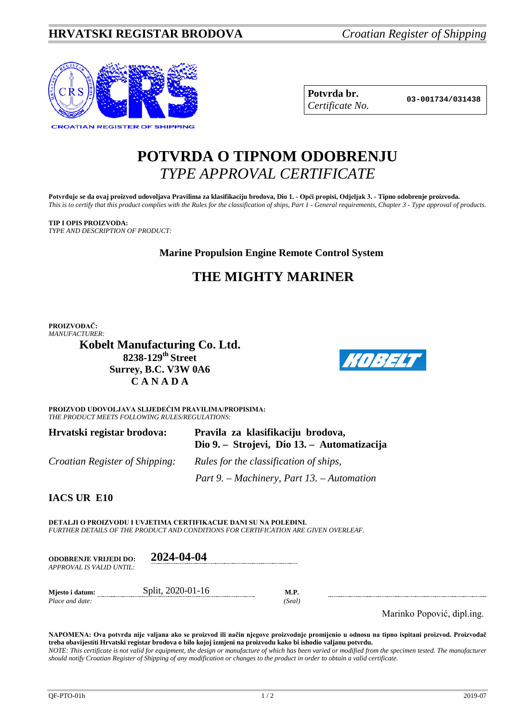

**Potvrda br. 03-001734/031438** *Certificate No.*

# **POTVRDA O TIPNOM ODOBRENJU** *TYPE APPROVAL CERTIFICATE*

**Potvrđuje se da ovaj proizvod udovoljava Pravilima za klasifikaciju brodova, Dio 1. - Opći propisi, Odjeljak 3. - Tipno odobrenje proizvoda.** *This is to certify that this product complies with the Rules for the classification of ships, Part 1 - General requirements, Chapter 3 - Type approval of products.*

**TIP I OPIS PROIZVODA:** *TYPE AND DESCRIPTION OF PRODUCT:*

**Marine Propulsion Engine Remote Control System**

## **THE MIGHTY MARINER**

**PROIZVOĐAČ:** *MANUFACTURER:*

**Kobelt Manufacturing Co. Ltd. 8238-129th Street Surrey, B.C. V3W 0A6 C A N A D A**



**PROIZVOD UDOVOLJAVA SLIJEDEĆIM PRAVILIMA/PROPISIMA:** *THE PRODUCT MEETS FOLLOWING RULES/REGULATIONS:*

| Hrvatski registar brodova:            | Pravila za klasifikaciju brodova,<br>Dio 9. – Strojevi, Dio 13. – Automatizacija |
|---------------------------------------|----------------------------------------------------------------------------------|
| <i>Croatian Register of Shipping:</i> | Rules for the classification of ships,                                           |
|                                       | Part 9. – Machinery, Part 13. – Automation                                       |

**IACS UR E10**

**DETALJI O PROIZVODU I UVJETIMA CERTIFIKACIJE DANI SU NA POLEĐINI.** *FURTHER DETAILS OF THE PRODUCT AND CONDITIONS FOR CERTIFICATION ARE GIVEN OVERLEAF.*

| <b>ODOBRENJE VRLJEDI DO:</b> | 2024-04-04        |        |
|------------------------------|-------------------|--------|
| APPROVAL IS VALID UNTIL:     |                   |        |
| Miesto i datum:              | Split, 2020-01-16 | M.P.   |
| Place and date:              |                   | (Seal) |

Marinko Popović, dipl.ing.

**NAPOMENA: Ova potvrda nije valjana ako se proizvod ili način njegove proizvodnje promijenio u odnosu na tipno ispitani proizvod. Proizvođač treba obavijestiti Hrvatski registar brodova o bilo kojoj izmjeni na proizvodu kako bi ishodio valjanu potvrdu.** *NOTE: This certificate is not valid for equipment, the design or manufacture of which has been varied or modified from the specimen tested. The manufacturer should notify Croatian Register of Shipping of any modification or changes to the product in order to obtain a valid certificate.*